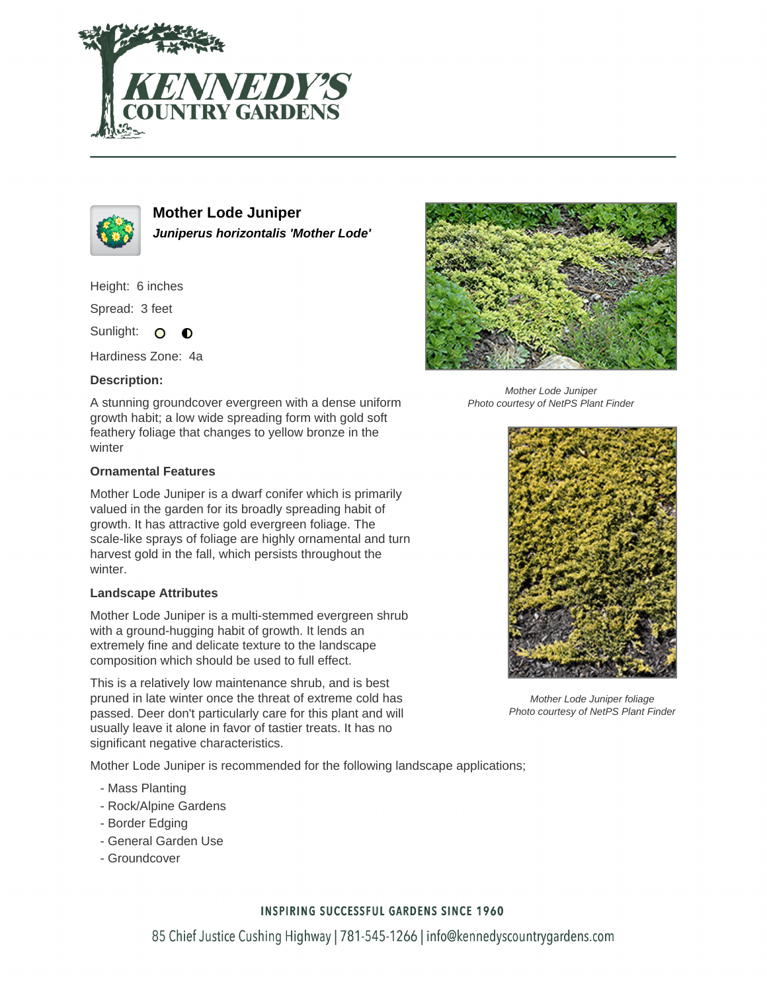



**Mother Lode Juniper Juniperus horizontalis 'Mother Lode'**

Height: 6 inches

Spread: 3 feet

Sunlight: O  $\bullet$ 

Hardiness Zone: 4a

### **Description:**

A stunning groundcover evergreen with a dense uniform growth habit; a low wide spreading form with gold soft feathery foliage that changes to yellow bronze in the winter

#### **Ornamental Features**

Mother Lode Juniper is a dwarf conifer which is primarily valued in the garden for its broadly spreading habit of growth. It has attractive gold evergreen foliage. The scale-like sprays of foliage are highly ornamental and turn harvest gold in the fall, which persists throughout the winter.

#### **Landscape Attributes**

Mother Lode Juniper is a multi-stemmed evergreen shrub with a ground-hugging habit of growth. It lends an extremely fine and delicate texture to the landscape composition which should be used to full effect.

This is a relatively low maintenance shrub, and is best pruned in late winter once the threat of extreme cold has passed. Deer don't particularly care for this plant and will usually leave it alone in favor of tastier treats. It has no significant negative characteristics.

Mother Lode Juniper is recommended for the following landscape applications;

- Mass Planting
- Rock/Alpine Gardens
- Border Edging
- General Garden Use
- Groundcover



Mother Lode Juniper Photo courtesy of NetPS Plant Finder



Mother Lode Juniper foliage Photo courtesy of NetPS Plant Finder

## **INSPIRING SUCCESSFUL GARDENS SINCE 1960**